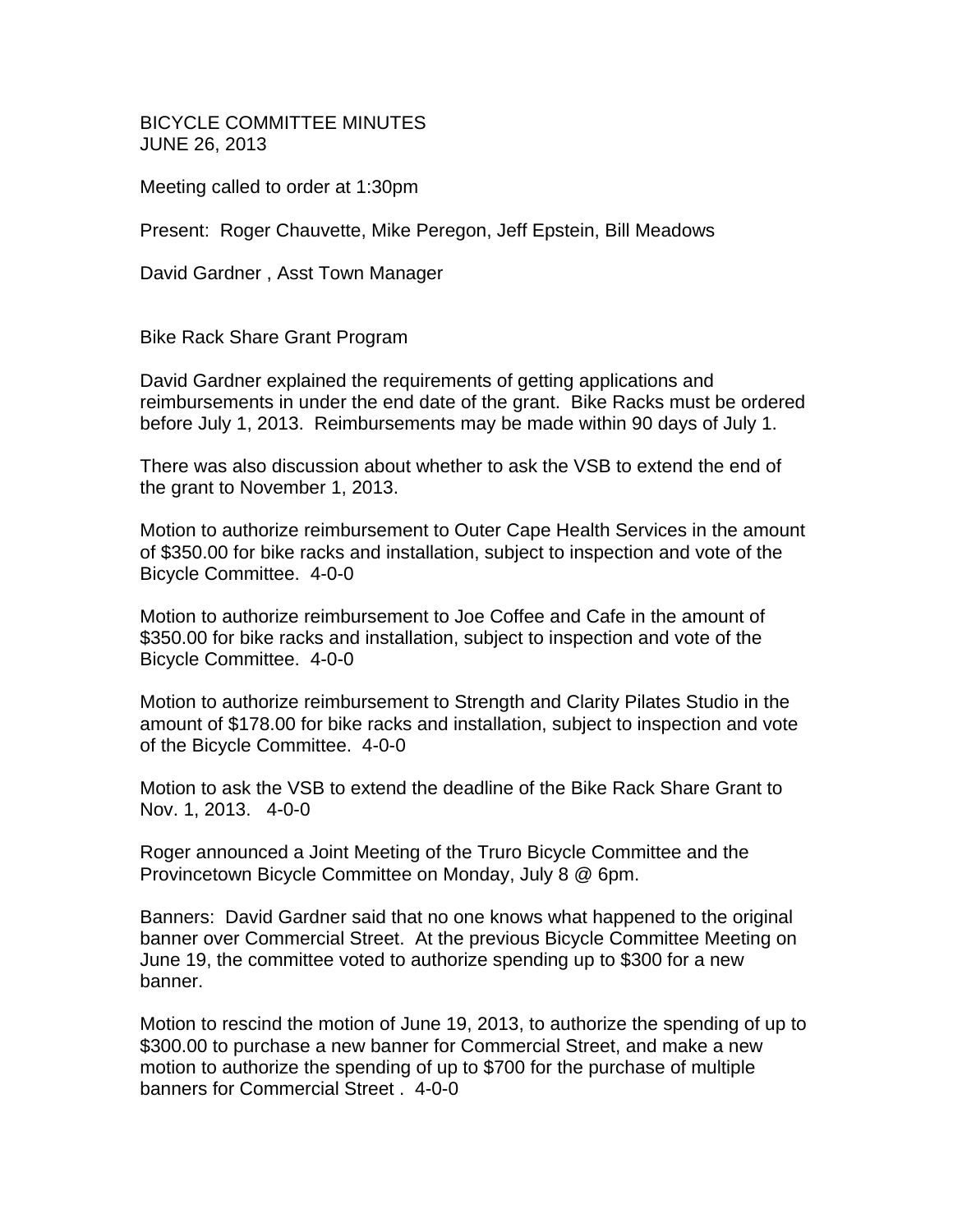BICYCLE COMMITTEE MINUTES JUNE 26, 2013

Meeting called to order at 1:30pm

Present: Roger Chauvette, Mike Peregon, Jeff Epstein, Bill Meadows

David Gardner , Asst Town Manager

Bike Rack Share Grant Program

David Gardner explained the requirements of getting applications and reimbursements in under the end date of the grant. Bike Racks must be ordered before July 1, 2013. Reimbursements may be made within 90 days of July 1.

There was also discussion about whether to ask the VSB to extend the end of the grant to November 1, 2013.

Motion to authorize reimbursement to Outer Cape Health Services in the amount of \$350.00 for bike racks and installation, subject to inspection and vote of the Bicycle Committee. 4-0-0

Motion to authorize reimbursement to Joe Coffee and Cafe in the amount of \$350.00 for bike racks and installation, subject to inspection and vote of the Bicycle Committee. 4-0-0

Motion to authorize reimbursement to Strength and Clarity Pilates Studio in the amount of \$178.00 for bike racks and installation, subject to inspection and vote of the Bicycle Committee. 4-0-0

Motion to ask the VSB to extend the deadline of the Bike Rack Share Grant to Nov. 1, 2013. 4-0-0

Roger announced a Joint Meeting of the Truro Bicycle Committee and the Provincetown Bicycle Committee on Monday, July 8 @ 6pm.

Banners: David Gardner said that no one knows what happened to the original banner over Commercial Street. At the previous Bicycle Committee Meeting on June 19, the committee voted to authorize spending up to \$300 for a new banner.

Motion to rescind the motion of June 19, 2013, to authorize the spending of up to \$300.00 to purchase a new banner for Commercial Street, and make a new motion to authorize the spending of up to \$700 for the purchase of multiple banners for Commercial Street . 4-0-0